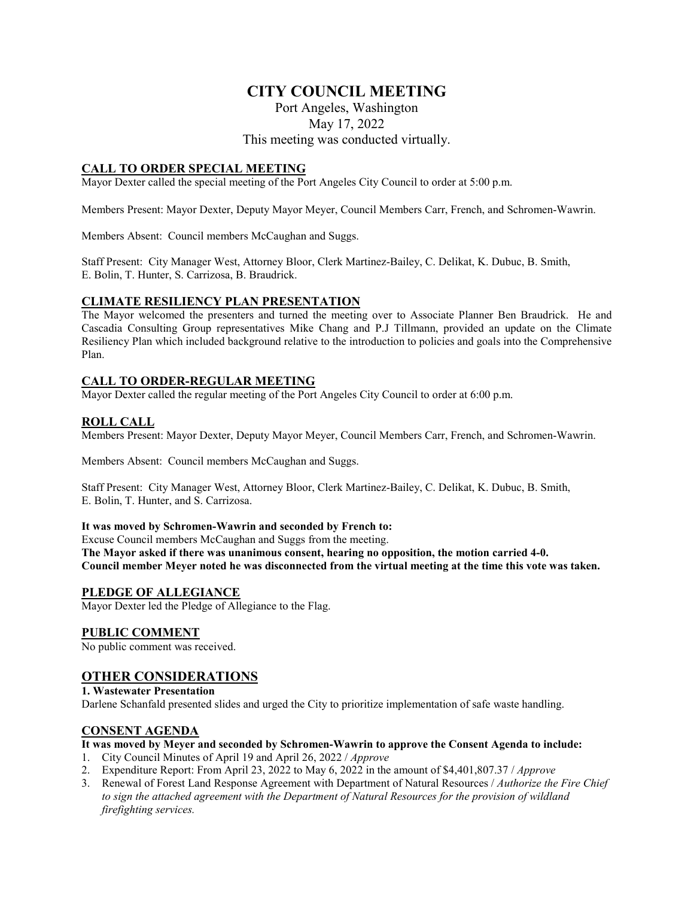# **CITY COUNCIL MEETING**

Port Angeles, Washington

May 17, 2022

This meeting was conducted virtually.

## **CALL TO ORDER SPECIAL MEETING**

Mayor Dexter called the special meeting of the Port Angeles City Council to order at 5:00 p.m.

Members Present: Mayor Dexter, Deputy Mayor Meyer, Council Members Carr, French, and Schromen-Wawrin.

Members Absent: Council members McCaughan and Suggs.

Staff Present: City Manager West, Attorney Bloor, Clerk Martinez-Bailey, C. Delikat, K. Dubuc, B. Smith, E. Bolin, T. Hunter, S. Carrizosa, B. Braudrick.

### **CLIMATE RESILIENCY PLAN PRESENTATION**

The Mayor welcomed the presenters and turned the meeting over to Associate Planner Ben Braudrick. He and Cascadia Consulting Group representatives Mike Chang and P.J Tillmann, provided an update on the Climate Resiliency Plan which included background relative to the introduction to policies and goals into the Comprehensive Plan.

### **CALL TO ORDER-REGULAR MEETING**

Mayor Dexter called the regular meeting of the Port Angeles City Council to order at 6:00 p.m.

### **ROLL CALL**

Members Present: Mayor Dexter, Deputy Mayor Meyer, Council Members Carr, French, and Schromen-Wawrin.

Members Absent: Council members McCaughan and Suggs.

Staff Present: City Manager West, Attorney Bloor, Clerk Martinez-Bailey, C. Delikat, K. Dubuc, B. Smith, E. Bolin, T. Hunter, and S. Carrizosa.

#### **It was moved by Schromen-Wawrin and seconded by French to:**

Excuse Council members McCaughan and Suggs from the meeting.

**The Mayor asked if there was unanimous consent, hearing no opposition, the motion carried 4-0. Council member Meyer noted he was disconnected from the virtual meeting at the time this vote was taken.** 

### **PLEDGE OF ALLEGIANCE**

Mayor Dexter led the Pledge of Allegiance to the Flag.

#### **PUBLIC COMMENT**

No public comment was received.

## **OTHER CONSIDERATIONS**

**1. Wastewater Presentation**

Darlene Schanfald presented slides and urged the City to prioritize implementation of safe waste handling.

#### **CONSENT AGENDA**

#### **It was moved by Meyer and seconded by Schromen-Wawrin to approve the Consent Agenda to include:**

- 1. City Council Minutes of April 19 and April 26, 2022 / *Approve*
- 2. Expenditure Report: From April 23, 2022 to May 6, 2022 in the amount of \$4,401,807.37 / *Approve*
- 3. Renewal of Forest Land Response Agreement with Department of Natural Resources / *Authorize the Fire Chief to sign the attached agreement with the Department of Natural Resources for the provision of wildland firefighting services.*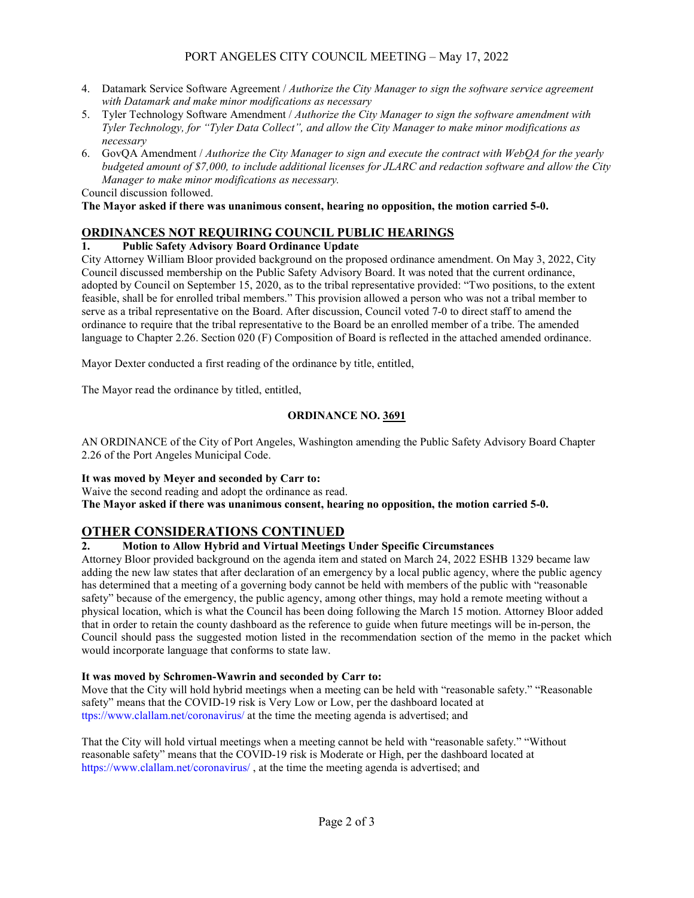- 4. Datamark Service Software Agreement / *Authorize the City Manager to sign the software service agreement with Datamark and make minor modifications as necessary*
- 5. Tyler Technology Software Amendment / *Authorize the City Manager to sign the software amendment with Tyler Technology, for "Tyler Data Collect", and allow the City Manager to make minor modifications as necessary*
- 6. GovQA Amendment / *Authorize the City Manager to sign and execute the contract with WebQA for the yearly budgeted amount of \$7,000, to include additional licenses for JLARC and redaction software and allow the City Manager to make minor modifications as necessary.* Council discussion followed.

**The Mayor asked if there was unanimous consent, hearing no opposition, the motion carried 5-0.**

## **ORDINANCES NOT REQUIRING COUNCIL PUBLIC HEARINGS**

## **1. Public Safety Advisory Board Ordinance Update**

City Attorney William Bloor provided background on the proposed ordinance amendment. On May 3, 2022, City Council discussed membership on the Public Safety Advisory Board. It was noted that the current ordinance, adopted by Council on September 15, 2020, as to the tribal representative provided: "Two positions, to the extent feasible, shall be for enrolled tribal members." This provision allowed a person who was not a tribal member to serve as a tribal representative on the Board. After discussion, Council voted 7-0 to direct staff to amend the ordinance to require that the tribal representative to the Board be an enrolled member of a tribe. The amended language to Chapter 2.26. Section 020 (F) Composition of Board is reflected in the attached amended ordinance.

Mayor Dexter conducted a first reading of the ordinance by title, entitled,

The Mayor read the ordinance by titled, entitled,

## **ORDINANCE NO. 3691**

AN ORDINANCE of the City of Port Angeles, Washington amending the Public Safety Advisory Board Chapter 2.26 of the Port Angeles Municipal Code.

### **It was moved by Meyer and seconded by Carr to:**

Waive the second reading and adopt the ordinance as read. **The Mayor asked if there was unanimous consent, hearing no opposition, the motion carried 5-0.**

## **OTHER CONSIDERATIONS CONTINUED**

## **2. Motion to Allow Hybrid and Virtual Meetings Under Specific Circumstances**

Attorney Bloor provided background on the agenda item and stated on March 24, 2022 ESHB 1329 became law adding the new law states that after declaration of an emergency by a local public agency, where the public agency has determined that a meeting of a governing body cannot be held with members of the public with "reasonable safety" because of the emergency, the public agency, among other things, may hold a remote meeting without a physical location, which is what the Council has been doing following the March 15 motion. Attorney Bloor added that in order to retain the county dashboard as the reference to guide when future meetings will be in-person, the Council should pass the suggested motion listed in the recommendation section of the memo in the packet which would incorporate language that conforms to state law.

### **It was moved by Schromen-Wawrin and seconded by Carr to:**

Move that the City will hold hybrid meetings when a meeting can be held with "reasonable safety." "Reasonable safety" means that the COVID-19 risk is Very Low or Low, per the dashboard located at ttps://www.clallam.net/coronavirus/ at the time the meeting agenda is advertised; and

That the City will hold virtual meetings when a meeting cannot be held with "reasonable safety." "Without reasonable safety" means that the COVID-19 risk is Moderate or High, per the dashboard located at https://www.clallam.net/coronavirus/ , at the time the meeting agenda is advertised; and